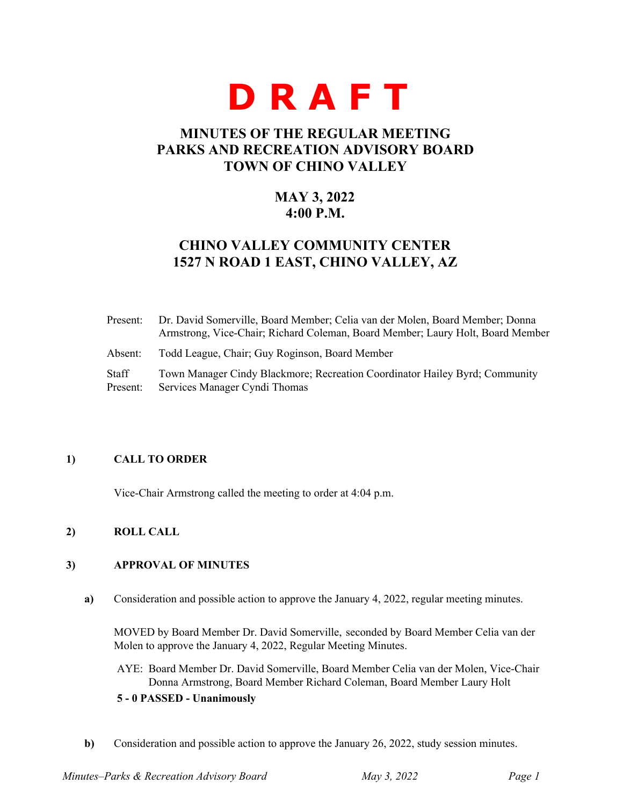

# **MINUTES OF THE REGULAR MEETING PARKS AND RECREATION ADVISORY BOARD TOWN OF CHINO VALLEY**

# **MAY 3, 2022 4:00 P.M.**

# **CHINO VALLEY COMMUNITY CENTER 1527 N ROAD 1 EAST, CHINO VALLEY, AZ**

| Present:          | Dr. David Somerville, Board Member; Celia van der Molen, Board Member; Donna<br>Armstrong, Vice-Chair; Richard Coleman, Board Member; Laury Holt, Board Member |
|-------------------|----------------------------------------------------------------------------------------------------------------------------------------------------------------|
| Absent:           | Todd League, Chair; Guy Roginson, Board Member                                                                                                                 |
| Staff<br>Present: | Town Manager Cindy Blackmore; Recreation Coordinator Hailey Byrd; Community<br>Services Manager Cyndi Thomas                                                   |

# **1) CALL TO ORDER**

Vice-Chair Armstrong called the meeting to order at 4:04 p.m.

# **2) ROLL CALL**

# **3) APPROVAL OF MINUTES**

**a)** Consideration and possible action to approve the January 4, 2022, regular meeting minutes.

MOVED by Board Member Dr. David Somerville, seconded by Board Member Celia van der Molen to approve the January 4, 2022, Regular Meeting Minutes.

AYE: Board Member Dr. David Somerville, Board Member Celia van der Molen, Vice-Chair Donna Armstrong, Board Member Richard Coleman, Board Member Laury Holt **5 - 0 PASSED - Unanimously**

**b)** Consideration and possible action to approve the January 26, 2022, study session minutes.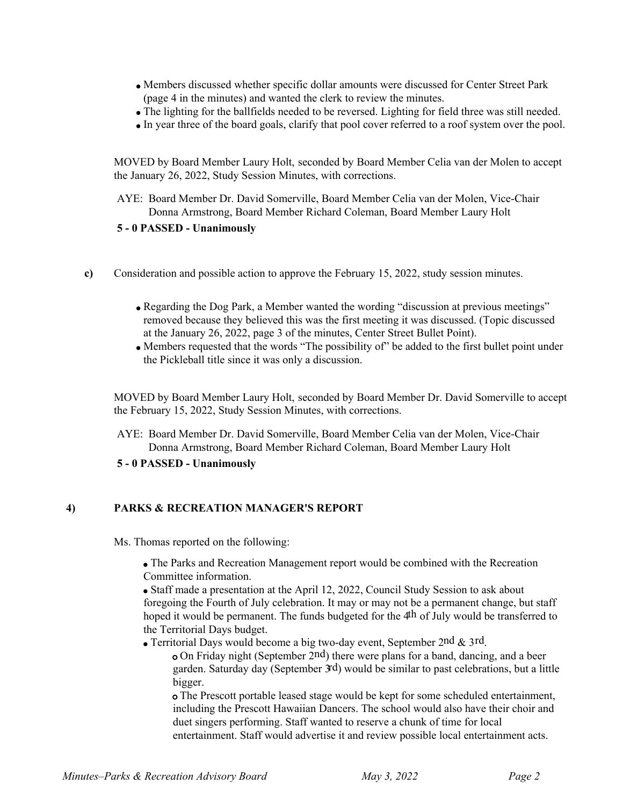- Members discussed whether specific dollar amounts were discussed for Center Street Park (page 4 in the minutes) and wanted the clerk to review the minutes.
- The lighting for the ballfields needed to be reversed. Lighting for field three was still needed.
- In year three of the board goals, clarify that pool cover referred to a roof system over the pool.

MOVED by Board Member Laury Holt, seconded by Board Member Celia van der Molen to accept the January 26, 2022, Study Session Minutes, with corrections.

AYE: Board Member Dr. David Somerville, Board Member Celia van der Molen, Vice-Chair Donna Armstrong, Board Member Richard Coleman, Board Member Laury Holt

#### **5 - 0 PASSED - Unanimously**

- **c)** Consideration and possible action to approve the February 15, 2022, study session minutes.
	- Regarding the Dog Park, a Member wanted the wording "discussion at previous meetings" removed because they believed this was the first meeting it was discussed. (Topic discussed at the January 26, 2022, page 3 of the minutes, Center Street Bullet Point).
	- Members requested that the words "The possibility of" be added to the first bullet point under the Pickleball title since it was only a discussion.

MOVED by Board Member Laury Holt, seconded by Board Member Dr. David Somerville to accept the February 15, 2022, Study Session Minutes, with corrections.

AYE: Board Member Dr. David Somerville, Board Member Celia van der Molen, Vice-Chair Donna Armstrong, Board Member Richard Coleman, Board Member Laury Holt

#### **5 - 0 PASSED - Unanimously**

# **4) PARKS & RECREATION MANAGER'S REPORT**

Ms. Thomas reported on the following:

The Parks and Recreation Management report would be combined with the Recreation Committee information.

Staff made a presentation at the April 12, 2022, Council Study Session to ask about foregoing the Fourth of July celebration. It may or may not be a permanent change, but staff hoped it would be permanent. The funds budgeted for the 4<sup>th</sup> of July would be transferred to the Territorial Days budget.

• Territorial Days would become a big two-day event, September 2nd & 3rd.

On Friday night (September 2nd) there were plans for a band, dancing, and a beer garden. Saturday day (September 3rd) would be similar to past celebrations, but a little bigger.

The Prescott portable leased stage would be kept for some scheduled entertainment, including the Prescott Hawaiian Dancers. The school would also have their choir and duet singers performing. Staff wanted to reserve a chunk of time for local entertainment. Staff would advertise it and review possible local entertainment acts.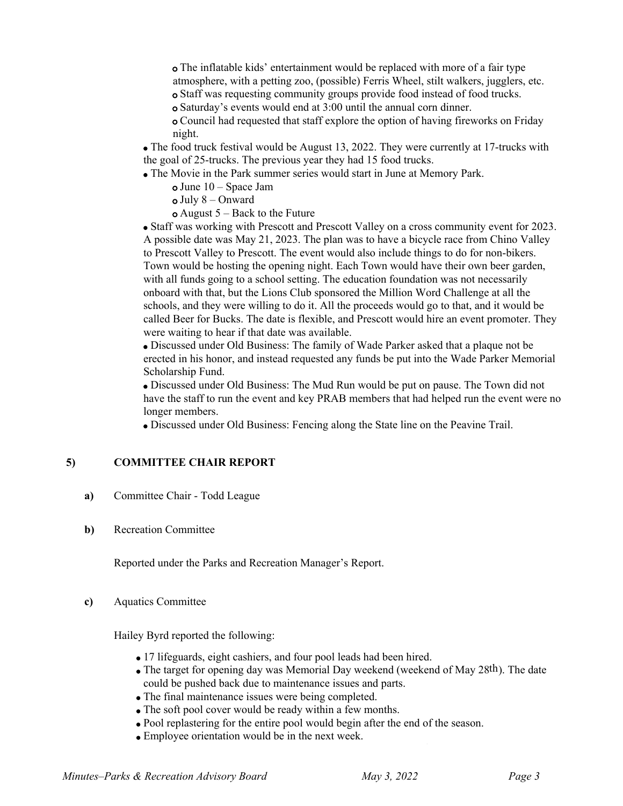The inflatable kids' entertainment would be replaced with more of a fair type atmosphere, with a petting zoo, (possible) Ferris Wheel, stilt walkers, jugglers, etc. Staff was requesting community groups provide food instead of food trucks. Saturday's events would end at 3:00 until the annual corn dinner.

Council had requested that staff explore the option of having fireworks on Friday night.

The food truck festival would be August 13, 2022. They were currently at 17-trucks with the goal of 25-trucks. The previous year they had 15 food trucks.

The Movie in the Park summer series would start in June at Memory Park.

June 10 – Space Jam

July 8 – Onward

 $o$  August  $5 - Back$  to the Future

Staff was working with Prescott and Prescott Valley on a cross community event for 2023. A possible date was May 21, 2023. The plan was to have a bicycle race from Chino Valley to Prescott Valley to Prescott. The event would also include things to do for non-bikers. Town would be hosting the opening night. Each Town would have their own beer garden, with all funds going to a school setting. The education foundation was not necessarily onboard with that, but the Lions Club sponsored the Million Word Challenge at all the schools, and they were willing to do it. All the proceeds would go to that, and it would be called Beer for Bucks. The date is flexible, and Prescott would hire an event promoter. They were waiting to hear if that date was available.

Discussed under Old Business: The family of Wade Parker asked that a plaque not be erected in his honor, and instead requested any funds be put into the Wade Parker Memorial Scholarship Fund.

Discussed under Old Business: The Mud Run would be put on pause. The Town did not have the staff to run the event and key PRAB members that had helped run the event were no longer members.

Discussed under Old Business: Fencing along the State line on the Peavine Trail.

# **5) COMMITTEE CHAIR REPORT**

- **a)** Committee Chair Todd League
- **b)** Recreation Committee

Reported under the Parks and Recreation Manager's Report.

#### **c)** Aquatics Committee

Hailey Byrd reported the following:

- 17 lifeguards, eight cashiers, and four pool leads had been hired.
- The target for opening day was Memorial Day weekend (weekend of May 28th). The date could be pushed back due to maintenance issues and parts.
- The final maintenance issues were being completed.
- The soft pool cover would be ready within a few months.
- Pool replastering for the entire pool would begin after the end of the season.
- Employee orientation would be in the next week.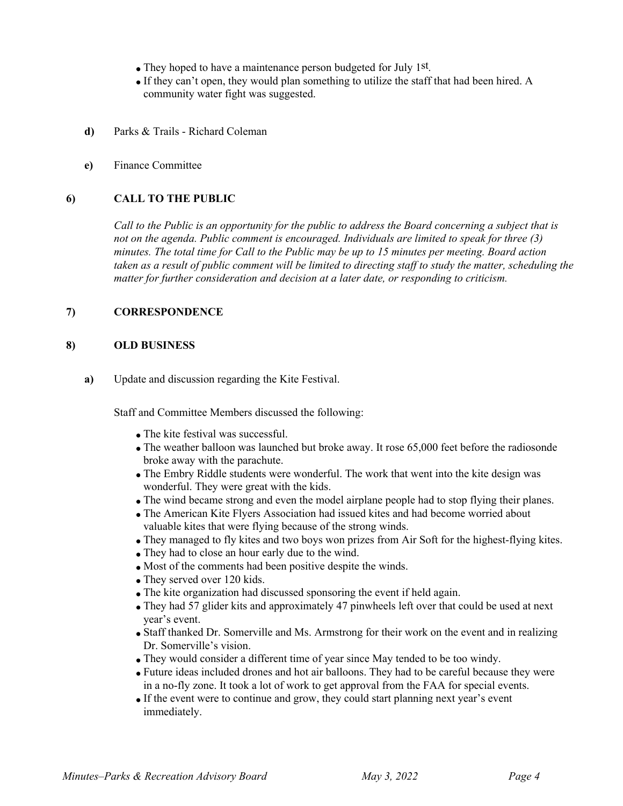- They hoped to have a maintenance person budgeted for July 1st.
- If they can't open, they would plan something to utilize the staff that had been hired. A community water fight was suggested.
- **d)** Parks & Trails Richard Coleman
- **e)** Finance Committee

# **6) CALL TO THE PUBLIC**

*Call to the Public is an opportunity for the public to address the Board concerning a subject that is not on the agenda. Public comment is encouraged. Individuals are limited to speak for three (3) minutes. The total time for Call to the Public may be up to 15 minutes per meeting. Board action taken as a result of public comment will be limited to directing staff to study the matter, scheduling the matter for further consideration and decision at a later date, or responding to criticism.*

# **7) CORRESPONDENCE**

### **8) OLD BUSINESS**

**a)** Update and discussion regarding the Kite Festival.

Staff and Committee Members discussed the following:

- The kite festival was successful.
- The weather balloon was launched but broke away. It rose 65,000 feet before the radiosonde broke away with the parachute.
- The Embry Riddle students were wonderful. The work that went into the kite design was wonderful. They were great with the kids.
- The wind became strong and even the model airplane people had to stop flying their planes.
- The American Kite Flyers Association had issued kites and had become worried about valuable kites that were flying because of the strong winds.
- They managed to fly kites and two boys won prizes from Air Soft for the highest-flying kites.
- They had to close an hour early due to the wind.
- Most of the comments had been positive despite the winds.
- They served over 120 kids.
- The kite organization had discussed sponsoring the event if held again.
- They had 57 glider kits and approximately 47 pinwheels left over that could be used at next year's event.
- Staff thanked Dr. Somerville and Ms. Armstrong for their work on the event and in realizing Dr. Somerville's vision.
- They would consider a different time of year since May tended to be too windy.
- Future ideas included drones and hot air balloons. They had to be careful because they were in a no-fly zone. It took a lot of work to get approval from the FAA for special events.
- If the event were to continue and grow, they could start planning next year's event immediately.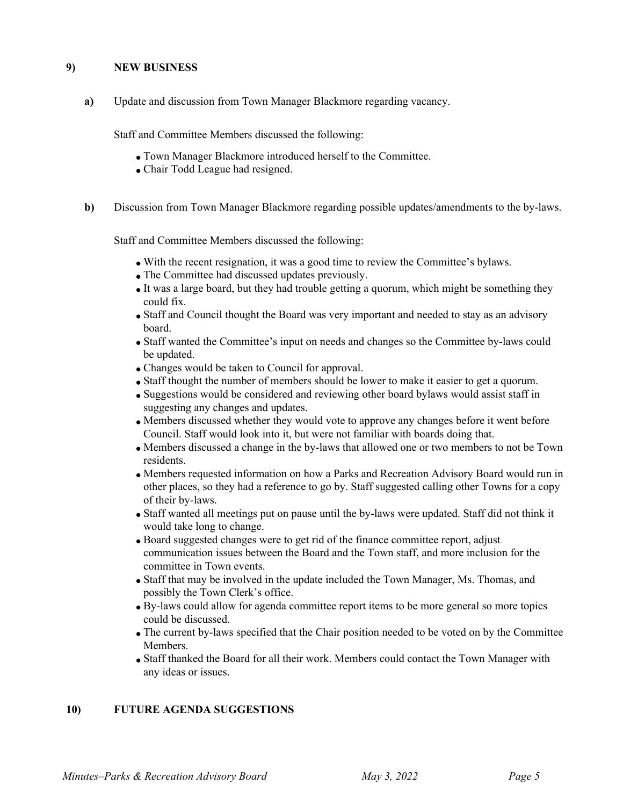### **9) NEW BUSINESS**

**a)** Update and discussion from Town Manager Blackmore regarding vacancy.

Staff and Committee Members discussed the following:

- Town Manager Blackmore introduced herself to the Committee.
- Chair Todd League had resigned.
- **b)** Discussion from Town Manager Blackmore regarding possible updates/amendments to the by-laws.

Staff and Committee Members discussed the following:

- With the recent resignation, it was a good time to review the Committee's bylaws.
- The Committee had discussed updates previously.
- It was a large board, but they had trouble getting a quorum, which might be something they could fix.
- Staff and Council thought the Board was very important and needed to stay as an advisory board.
- Staff wanted the Committee's input on needs and changes so the Committee by-laws could be updated.
- Changes would be taken to Council for approval.
- Staff thought the number of members should be lower to make it easier to get a quorum.
- Suggestions would be considered and reviewing other board bylaws would assist staff in suggesting any changes and updates.
- Members discussed whether they would vote to approve any changes before it went before Council. Staff would look into it, but were not familiar with boards doing that.
- Members discussed a change in the by-laws that allowed one or two members to not be Town residents.
- Members requested information on how a Parks and Recreation Advisory Board would run in other places, so they had a reference to go by. Staff suggested calling other Towns for a copy of their by-laws.
- Staff wanted all meetings put on pause until the by-laws were updated. Staff did not think it would take long to change.
- Board suggested changes were to get rid of the finance committee report, adjust communication issues between the Board and the Town staff, and more inclusion for the committee in Town events.
- Staff that may be involved in the update included the Town Manager, Ms. Thomas, and possibly the Town Clerk's office.
- By-laws could allow for agenda committee report items to be more general so more topics could be discussed.
- The current by-laws specified that the Chair position needed to be voted on by the Committee Members.
- Staff thanked the Board for all their work. Members could contact the Town Manager with any ideas or issues.

### **10) FUTURE AGENDA SUGGESTIONS**